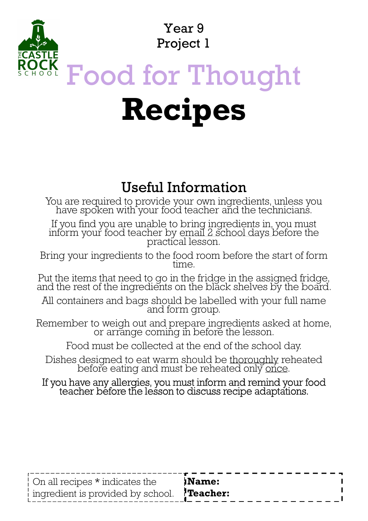Year 9 Project 1

# Food for Thought Recipes

## Useful Information

You are required to provide your own ingredients, unless you have spoken with your food teacher and the technicians.

If you find you are unable to bring ingredients in, you must inform your food teacher by email 2 school days before the practical lesson. Four are equired to provide your own ingredients, unless you have spoken with your food teacher and the technicians.<br>If you find you are unable to bring ingredients in, you must inform your food teacher by email 2 school d

Bring your ingredients to the food room before the start of form<br>time.

Put the items that need to go in the fridge in the assigned fridge, and the rest of the ingredients on the black shelves by the board.

All containers and bags should be labelled with your full name and form group.

Remember to weigh out and prepare ingredients asked at home,<br>or arrange coming in before the lesson.

Food must be collected at the end of the school day.

If you have any allergies, you must inform and remind your food teacher before the lesson to discuss recipe adaptations.

| On all recipes $*$ indicates the                       | _ _ _ _ _ _ _ _ _ _ _ _ _ _ _<br><b>Name:</b> |
|--------------------------------------------------------|-----------------------------------------------|
| ingredient is provided by school. $\mathbf{?Teacher:}$ |                                               |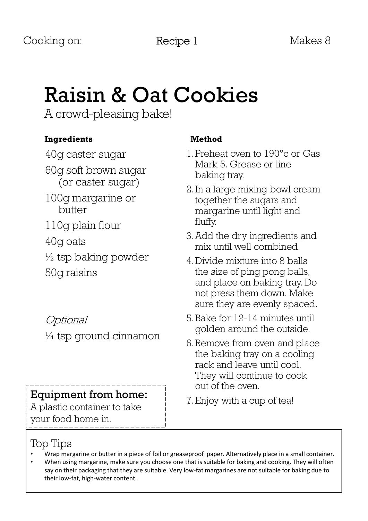# Raisin & Oat Cookies

A crowd-pleasing bake!

#### Ingredients

40g caster sugar 60g soft brown sugar (or caster sugar) 100g margarine or butter 110g plain flour 40g oats  $\frac{1}{2}$  tsp baking powder 50g raisins

Optional  $\frac{1}{4}$  tsp ground cinnamon

# **Equipment from home:** T. Enjoy with a cup of tea!

A plastic container to take your food home in.

#### Method

- 1.Preheat oven to 190°c or Gas Mark 5. Grease or line baking tray.
- 2.In a large mixing bowl cream together the sugars and margarine until light and fluffy.
- 3.Add the dry ingredients and mix until well combined.
- 4.Divide mixture into 8 balls the size of ping pong balls, and place on baking tray. Do not press them down. Make sure they are evenly spaced.
- 5.Bake for 12-14 minutes until golden around the outside.
- 6.Remove from oven and place the baking tray on a cooling rack and leave until cool. They will continue to cook out of the oven.
- 

### Top Tips

- Wrap margarine or butter in a piece of foil or greaseproof paper. Alternatively place in a small container.
- When using margarine, make sure you choose one that is suitable for baking and cooking. They will often say on their packaging that they are suitable. Very low-fat margarines are not suitable for baking due to their low-fat, high-water content.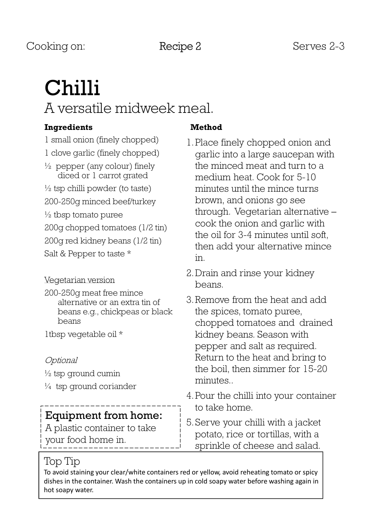# Chilli A versatile midweek meal.

#### Ingredients

1 small onion (finely chopped) 1 clove garlic (finely chopped)  $\frac{1}{2}$  pepper (any colour) finely diced or 1 carrot grated  $\frac{1}{2}$  tsp chilli powder (to taste) 200-250g minced beef/turkey  $\frac{1}{2}$  tbsp tomato puree 200g chopped tomatoes (1/2 tin) 200g red kidney beans (1/2 tin) Salt & Pepper to taste \*

#### Vegetarian version

200-250g meat free mince alternative or an extra tin of beans e.g., chickpeas or black beans

1tbsp vegetable oil \*

#### Optional

 $\frac{1}{2}$  tsp ground cumin

¼ tsp ground coriander

#### Equipment from home:

A plastic container to take your food home in.

#### Method

- 1.Place finely chopped onion and garlic into a large saucepan with the minced meat and turn to a medium heat. Cook for 5-10 minutes until the mince turns brown, and onions go see through. Vegetarian alternative – cook the onion and garlic with the oil for 3-4 minutes until soft, then add your alternative mince in.
- 2.Drain and rinse your kidney beans.
- 3.Remove from the heat and add the spices, tomato puree, chopped tomatoes and drained kidney beans. Season with pepper and salt as required. Return to the heat and bring to the boil, then simmer for 15-20 minutes..
- 4.Pour the chilli into your container to take home.
- 5.Serve your chilli with a jacket potato, rice or tortillas, with a sprinkle of cheese and salad.

#### Top Tip

To avoid staining your clear/white containers red or yellow, avoid reheating tomato or spicy dishes in the container. Wash the containers up in cold soapy water before washing again in hot soapy water.